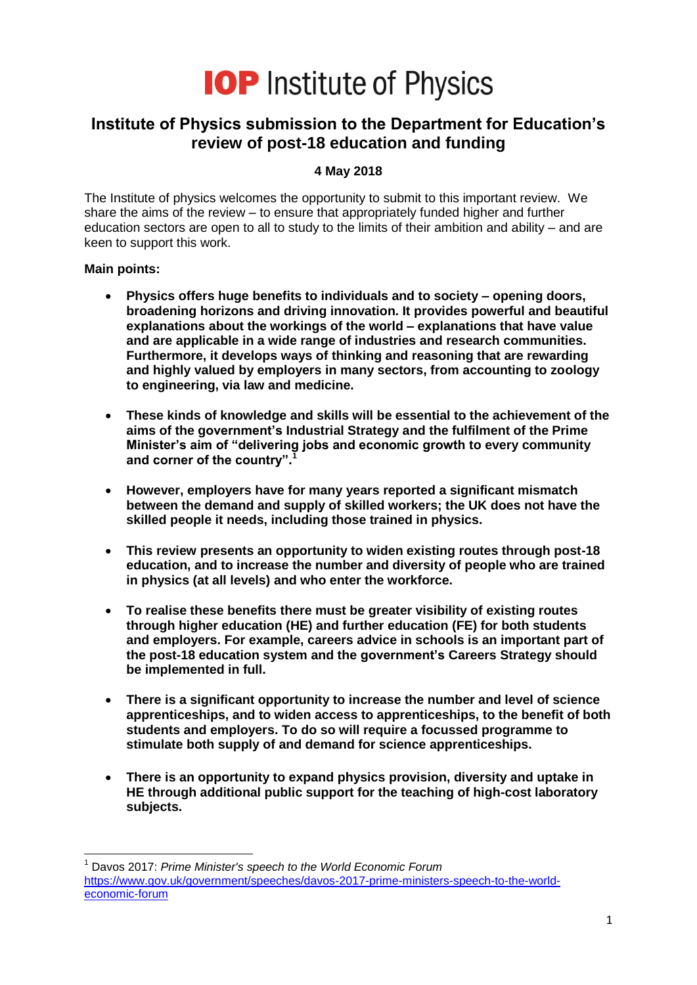

# **Institute of Physics submission to the Department for Education's review of post-18 education and funding**

#### **4 May 2018**

The Institute of physics welcomes the opportunity to submit to this important review. We share the aims of the review – to ensure that appropriately funded higher and further education sectors are open to all to study to the limits of their ambition and ability – and are keen to support this work.

#### **Main points:**

- **Physics offers huge benefits to individuals and to society – opening doors, broadening horizons and driving innovation. It provides powerful and beautiful explanations about the workings of the world – explanations that have value and are applicable in a wide range of industries and research communities. Furthermore, it develops ways of thinking and reasoning that are rewarding and highly valued by employers in many sectors, from accounting to zoology to engineering, via law and medicine.**
- **These kinds of knowledge and skills will be essential to the achievement of the aims of the government's Industrial Strategy and the fulfilment of the Prime Minister's aim of "delivering jobs and economic growth to every community and corner of the country". 1**
- **However, employers have for many years reported a significant mismatch between the demand and supply of skilled workers; the UK does not have the skilled people it needs, including those trained in physics.**
- **This review presents an opportunity to widen existing routes through post-18 education, and to increase the number and diversity of people who are trained in physics (at all levels) and who enter the workforce.**
- **To realise these benefits there must be greater visibility of existing routes through higher education (HE) and further education (FE) for both students and employers. For example, careers advice in schools is an important part of the post-18 education system and the government's Careers Strategy should be implemented in full.**
- **There is a significant opportunity to increase the number and level of science apprenticeships, and to widen access to apprenticeships, to the benefit of both students and employers. To do so will require a focussed programme to stimulate both supply of and demand for science apprenticeships.**
- **There is an opportunity to expand physics provision, diversity and uptake in HE through additional public support for the teaching of high-cost laboratory subjects.**

 $\overline{\phantom{a}}$ <sup>1</sup> Davos 2017: *Prime Minister's speech to the World Economic Forum* [https://www.gov.uk/government/speeches/davos-2017-prime-ministers-speech-to-the-world](https://www.gov.uk/government/speeches/davos-2017-prime-ministers-speech-to-the-world-economic-forum)[economic-forum](https://www.gov.uk/government/speeches/davos-2017-prime-ministers-speech-to-the-world-economic-forum)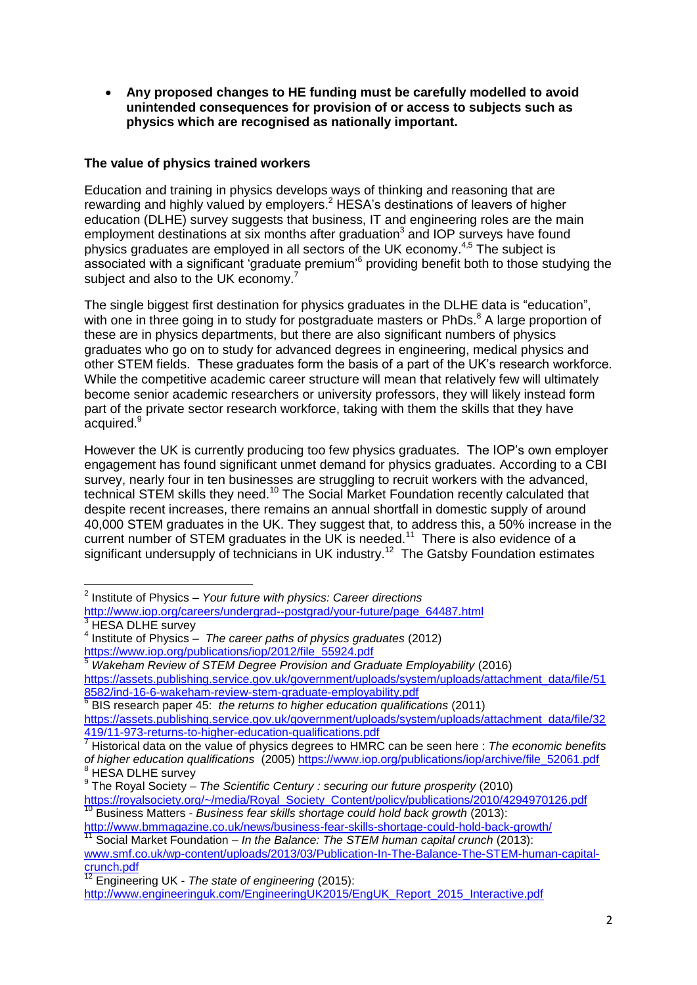**Any proposed changes to HE funding must be carefully modelled to avoid unintended consequences for provision of or access to subjects such as physics which are recognised as nationally important.**

# **The value of physics trained workers**

Education and training in physics develops ways of thinking and reasoning that are rewarding and highly valued by employers.<sup>2</sup> HESA's destinations of leavers of higher education (DLHE) survey suggests that business. IT and engineering roles are the main employment destinations at six months after graduation $3$  and IOP surveys have found physics graduates are employed in all sectors of the UK economy.<sup>4,5</sup> The subject is associated with a significant 'graduate premium'<sup>6</sup> providing benefit both to those studying the subject and also to the UK economy.<sup>7</sup>

The single biggest first destination for physics graduates in the DLHE data is "education", with one in three going in to study for postgraduate masters or PhDs.<sup>8</sup> A large proportion of these are in physics departments, but there are also significant numbers of physics graduates who go on to study for advanced degrees in engineering, medical physics and other STEM fields. These graduates form the basis of a part of the UK's research workforce. While the competitive academic career structure will mean that relatively few will ultimately become senior academic researchers or university professors, they will likely instead form part of the private sector research workforce, taking with them the skills that they have acquired.<sup>9</sup>

However the UK is currently producing too few physics graduates. The IOP's own employer engagement has found significant unmet demand for physics graduates. According to a CBI survey, nearly four in ten businesses are struggling to recruit workers with the advanced, technical STEM skills they need.<sup>10</sup> The Social Market Foundation recently calculated that despite recent increases, there remains an annual shortfall in domestic supply of around 40,000 STEM graduates in the UK. They suggest that, to address this, a 50% increase in the current number of STEM graduates in the UK is needed.<sup>11</sup> There is also evidence of a significant undersupply of technicians in UK industry.<sup>12</sup> The Gatsby Foundation estimates

- [http://www.iop.org/careers/undergrad--postgrad/your-future/page\\_64487.html](http://www.iop.org/careers/undergrad--postgrad/your-future/page_64487.html)  $3$  HESA DLHE survey
- 4 Institute of Physics *The career paths of physics graduates* (2012) [https://www.iop.org/publications/iop/2012/file\\_55924.pdf](https://www.iop.org/publications/iop/2012/file_55924.pdf)

<sup>5</sup> *Wakeham Review of STEM Degree Provision and Graduate Employability* (2016) [https://assets.publishing.service.gov.uk/government/uploads/system/uploads/attachment\\_data/file/51](https://assets.publishing.service.gov.uk/government/uploads/system/uploads/attachment_data/file/518582/ind-16-6-wakeham-review-stem-graduate-employability.pdf) [8582/ind-16-6-wakeham-review-stem-graduate-employability.pdf](https://assets.publishing.service.gov.uk/government/uploads/system/uploads/attachment_data/file/518582/ind-16-6-wakeham-review-stem-graduate-employability.pdf) 6

BIS research paper 45: *the returns to higher education qualifications* (2011) [https://assets.publishing.service.gov.uk/government/uploads/system/uploads/attachment\\_data/file/32](https://assets.publishing.service.gov.uk/government/uploads/system/uploads/attachment_data/file/32419/11-973-returns-to-higher-education-qualifications.pdf) [419/11-973-returns-to-higher-education-qualifications.pdf](https://assets.publishing.service.gov.uk/government/uploads/system/uploads/attachment_data/file/32419/11-973-returns-to-higher-education-qualifications.pdf)

 2 Institute of Physics – *Your future with physics: Career directions*

<sup>7</sup> Historical data on the value of physics degrees to HMRC can be seen here : *The economic benefits of higher education qualifications* (2005) [https://www.iop.org/publications/iop/archive/file\\_52061.pdf](https://www.iop.org/publications/iop/archive/file_52061.pdf) **HESA DLHE survey** 

<sup>9</sup> The Royal Society – *The Scientific Century : securing our future prosperity* (2010)

[https://royalsociety.org/~/media/Royal\\_Society\\_Content/policy/publications/2010/4294970126.pdf](https://royalsociety.org/~/media/Royal_Society_Content/policy/publications/2010/4294970126.pdf) <sup>10</sup> Business Matters - *Business fear skills shortage could hold back growth* (2013):

<http://www.bmmagazine.co.uk/news/business-fear-skills-shortage-could-hold-back-growth/>

<sup>11</sup> Social Market Foundation – *In the Balance: The STEM human capital crunch* (2013): [www.smf.co.uk/wp-content/uploads/2013/03/Publication-In-The-Balance-The-STEM-human-capital](file:///C:/Users/ayc/AppData/Local/Microsoft/Windows/Temporary%20Internet%20Files/Content.Outlook/G8OUVIBG/www.smf.co.uk/wp-content/uploads/2013/03/Publication-In-The-Balance-The-STEM-human-capital-crunch.pdf)[crunch.pdf](file:///C:/Users/ayc/AppData/Local/Microsoft/Windows/Temporary%20Internet%20Files/Content.Outlook/G8OUVIBG/www.smf.co.uk/wp-content/uploads/2013/03/Publication-In-The-Balance-The-STEM-human-capital-crunch.pdf)

<sup>12</sup> Engineering UK - *The state of engineering* (2015):

[http://www.engineeringuk.com/EngineeringUK2015/EngUK\\_Report\\_2015\\_Interactive.pdf](http://www.engineeringuk.com/EngineeringUK2015/EngUK_Report_2015_Interactive.pdf)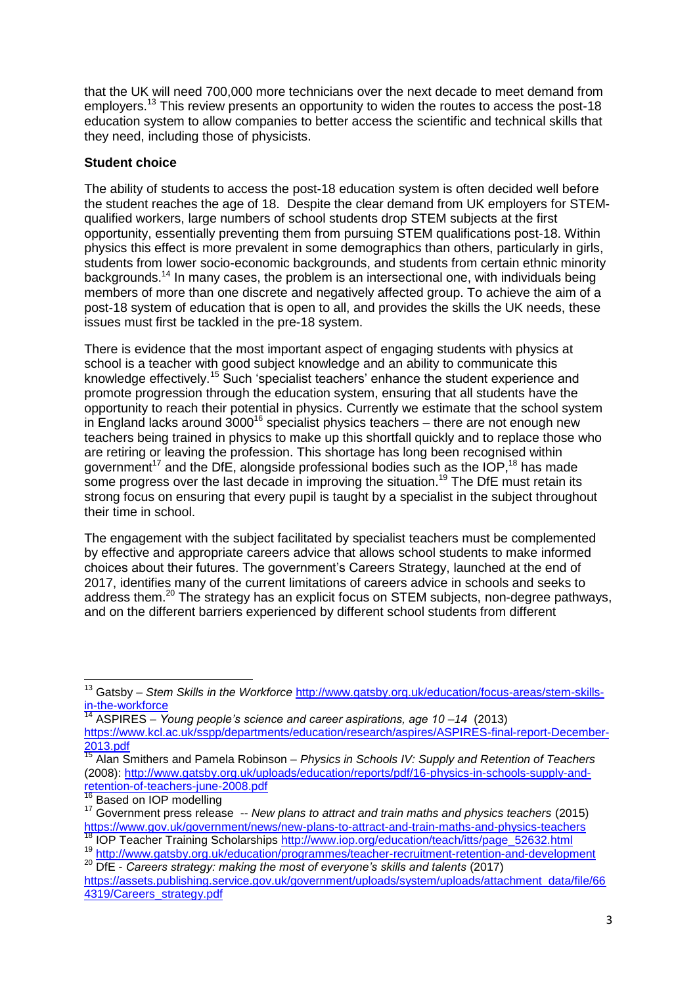that the UK will need 700,000 more technicians over the next decade to meet demand from employers.<sup>13</sup> This review presents an opportunity to widen the routes to access the post-18 education system to allow companies to better access the scientific and technical skills that they need, including those of physicists.

## **Student choice**

The ability of students to access the post-18 education system is often decided well before the student reaches the age of 18. Despite the clear demand from UK employers for STEMqualified workers, large numbers of school students drop STEM subjects at the first opportunity, essentially preventing them from pursuing STEM qualifications post-18. Within physics this effect is more prevalent in some demographics than others, particularly in girls, students from lower socio-economic backgrounds, and students from certain ethnic minority backgrounds.<sup>14</sup> In many cases, the problem is an intersectional one, with individuals being members of more than one discrete and negatively affected group. To achieve the aim of a post-18 system of education that is open to all, and provides the skills the UK needs, these issues must first be tackled in the pre-18 system.

There is evidence that the most important aspect of engaging students with physics at school is a teacher with good subject knowledge and an ability to communicate this knowledge effectively.<sup>15</sup> Such 'specialist teachers' enhance the student experience and promote progression through the education system, ensuring that all students have the opportunity to reach their potential in physics. Currently we estimate that the school system in England lacks around  $3000^{16}$  specialist physics teachers – there are not enough new teachers being trained in physics to make up this shortfall quickly and to replace those who are retiring or leaving the profession. This shortage has long been recognised within government<sup>17</sup> and the DfE, alongside professional bodies such as the IOP,<sup>18</sup> has made some progress over the last decade in improving the situation.<sup>19</sup> The DfE must retain its strong focus on ensuring that every pupil is taught by a specialist in the subject throughout their time in school.

The engagement with the subject facilitated by specialist teachers must be complemented by effective and appropriate careers advice that allows school students to make informed choices about their futures. The government's Careers Strategy, launched at the end of 2017, identifies many of the current limitations of careers advice in schools and seeks to address them.<sup>20</sup> The strategy has an explicit focus on STEM subjects, non-degree pathways, and on the different barriers experienced by different school students from different

 $\overline{\phantom{a}}$ 

<sup>13</sup> Gatsby – *Stem Skills in the Workforce* [http://www.gatsby.org.uk/education/focus-areas/stem-skills](http://www.gatsby.org.uk/education/focus-areas/stem-skills-in-the-workforce)[in-the-workforce](http://www.gatsby.org.uk/education/focus-areas/stem-skills-in-the-workforce)

<sup>14</sup> ASPIRES – *Young people's science and career aspirations, age 10 –14* (2013) [https://www.kcl.ac.uk/sspp/departments/education/research/aspires/ASPIRES-final-report-December-](https://www.kcl.ac.uk/sspp/departments/education/research/aspires/ASPIRES-final-report-December-2013.pdf)[2013.pdf](https://www.kcl.ac.uk/sspp/departments/education/research/aspires/ASPIRES-final-report-December-2013.pdf)

<sup>15</sup> Alan Smithers and Pamela Robinson – *Physics in Schools IV: Supply and Retention of Teachers*  (2008): [http://www.gatsby.org.uk/uploads/education/reports/pdf/16-physics-in-schools-supply-and](http://www.gatsby.org.uk/uploads/education/reports/pdf/16-physics-in-schools-supply-and-retention-of-teachers-june-2008.pdf)[retention-of-teachers-june-2008.pdf](http://www.gatsby.org.uk/uploads/education/reports/pdf/16-physics-in-schools-supply-and-retention-of-teachers-june-2008.pdf)

Based on IOP modelling

<sup>17</sup> Government press release -- *New plans to attract and train maths and physics teachers* (2015) <https://www.gov.uk/government/news/new-plans-to-attract-and-train-maths-and-physics-teachers>

<sup>18</sup> IOP Teacher Training Scholarships [http://www.iop.org/education/teach/itts/page\\_52632.html](http://www.iop.org/education/teach/itts/page_52632.html)

<sup>19</sup> <http://www.gatsby.org.uk/education/programmes/teacher-recruitment-retention-and-development> <sup>20</sup> DfE - *Careers strategy: making the most of everyone's skills and talents* (2017)

[https://assets.publishing.service.gov.uk/government/uploads/system/uploads/attachment\\_data/file/66](https://assets.publishing.service.gov.uk/government/uploads/system/uploads/attachment_data/file/664319/Careers_strategy.pdf) [4319/Careers\\_strategy.pdf](https://assets.publishing.service.gov.uk/government/uploads/system/uploads/attachment_data/file/664319/Careers_strategy.pdf)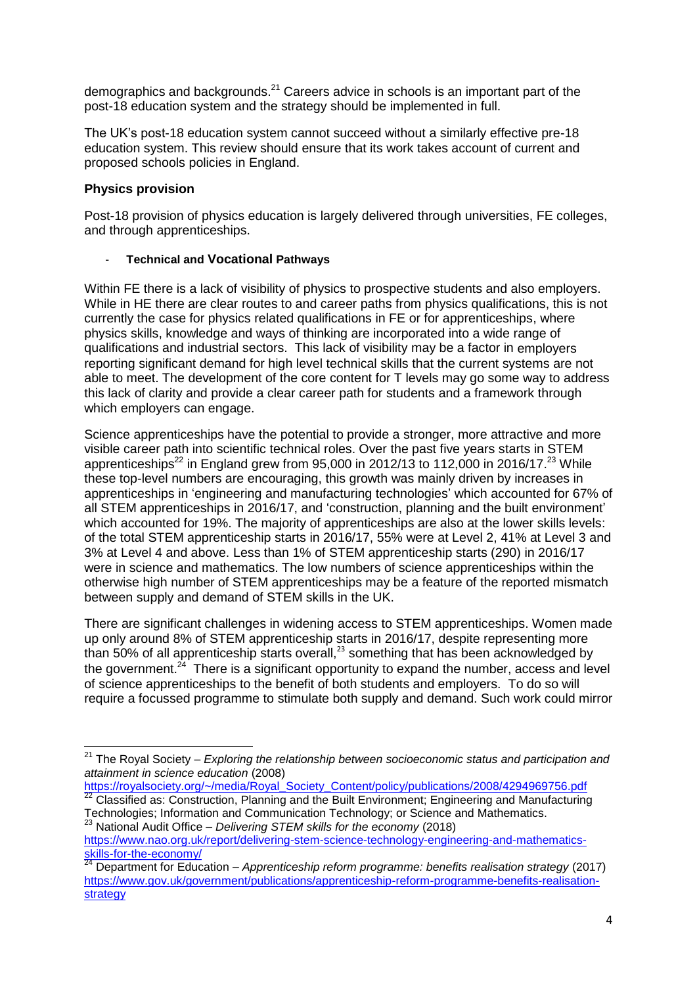demographics and backgrounds.<sup>21</sup> Careers advice in schools is an important part of the post-18 education system and the strategy should be implemented in full.

The UK's post-18 education system cannot succeed without a similarly effective pre-18 education system. This review should ensure that its work takes account of current and proposed schools policies in England.

## **Physics provision**

**.** 

Post-18 provision of physics education is largely delivered through universities, FE colleges, and through apprenticeships.

## - **Technical and Vocational Pathways**

Within FE there is a lack of visibility of physics to prospective students and also employers. While in HE there are clear routes to and career paths from physics qualifications, this is not currently the case for physics related qualifications in FE or for apprenticeships, where physics skills, knowledge and ways of thinking are incorporated into a wide range of qualifications and industrial sectors. This lack of visibility may be a factor in employers reporting significant demand for high level technical skills that the current systems are not able to meet. The development of the core content for T levels may go some way to address this lack of clarity and provide a clear career path for students and a framework through which employers can engage.

<span id="page-3-0"></span>Science apprenticeships have the potential to provide a stronger, more attractive and more visible career path into scientific technical roles. Over the past five years starts in STEM apprenticeships<sup>22</sup> in England grew from 95,000 in 2012/13 to 112,000 in 2016/17.<sup>23</sup> While these top-level numbers are encouraging, this growth was mainly driven by increases in apprenticeships in 'engineering and manufacturing technologies' which accounted for 67% of all STEM apprenticeships in 2016/17, and 'construction, planning and the built environment' which accounted for 19%. The majority of apprenticeships are also at the lower skills levels: of the total STEM apprenticeship starts in 2016/17, 55% were at Level 2, 41% at Level 3 and 3% at Level 4 and above. Less than 1% of STEM apprenticeship starts (290) in 2016/17 were in science and mathematics. The low numbers of science apprenticeships within the otherwise high number of STEM apprenticeships may be a feature of the reported mismatch between supply and demand of STEM skills in the UK.

There are significant challenges in widening access to STEM apprenticeships. Women made up only around 8% of STEM apprenticeship starts in 2016/17, despite representing more than 50% of all apprenticeship starts overall,<sup>[23](#page-3-0)</sup> something that has been acknowledged by the government.<sup>24</sup> There is a significant opportunity to expand the number, access and level of science apprenticeships to the benefit of both students and employers. To do so will require a focussed programme to stimulate both supply and demand. Such work could mirror

<sup>21</sup> The Royal Society – *Exploring the relationship between socioeconomic status and participation and attainment in science education* (2008)

[https://royalsociety.org/~/media/Royal\\_Society\\_Content/policy/publications/2008/4294969756.pdf](https://royalsociety.org/~/media/Royal_Society_Content/policy/publications/2008/4294969756.pdf)

 $^{22}$  Classified as: Construction, Planning and the Built Environment; Engineering and Manufacturing Technologies; Information and Communication Technology; or Science and Mathematics. <sup>23</sup> National Audit Office – *Delivering STEM skills for the economy* (2018)

[https://www.nao.org.uk/report/delivering-stem-science-technology-engineering-and-mathematics](https://www.nao.org.uk/report/delivering-stem-science-technology-engineering-and-mathematics-skills-for-the-economy/)[skills-for-the-economy/](https://www.nao.org.uk/report/delivering-stem-science-technology-engineering-and-mathematics-skills-for-the-economy/)<br>24 Density

<sup>24</sup> Department for Education – *Apprenticeship reform programme: benefits realisation strategy* (2017) [https://www.gov.uk/government/publications/apprenticeship-reform-programme-benefits-realisation](https://www.gov.uk/government/publications/apprenticeship-reform-programme-benefits-realisation-strategy)[strategy](https://www.gov.uk/government/publications/apprenticeship-reform-programme-benefits-realisation-strategy)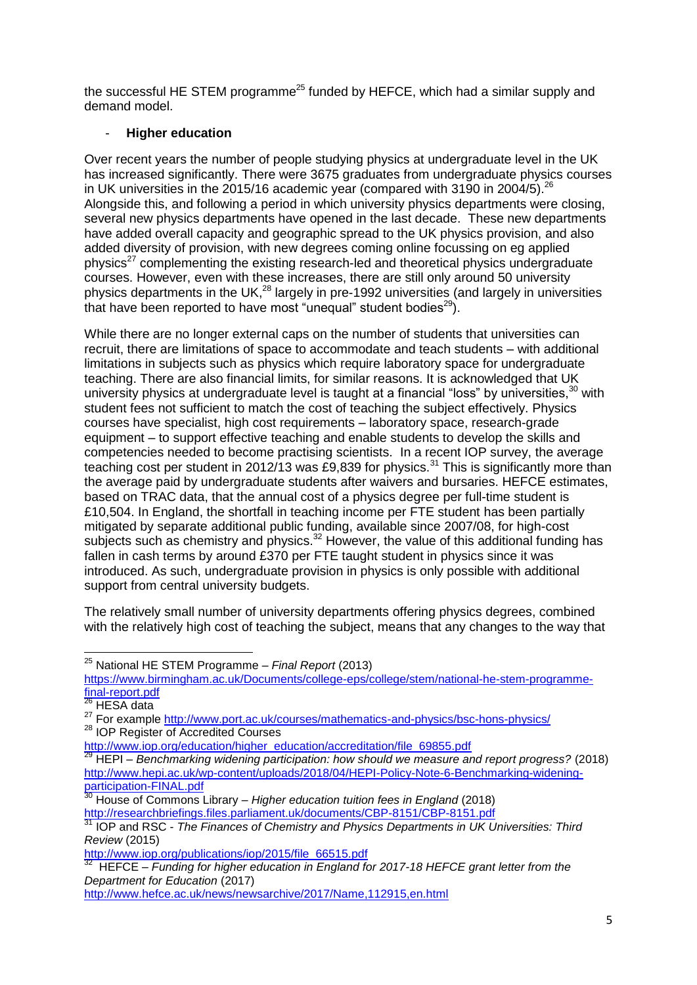the successful HE STEM programme<sup>25</sup> funded by HEFCE, which had a similar supply and demand model.

#### - **Higher education**

Over recent years the number of people studying physics at undergraduate level in the UK has increased significantly. There were 3675 graduates from undergraduate physics courses in UK universities in the 2015/16 academic year (compared with 3190 in 2004/5).  $^{26}$ Alongside this, and following a period in which university physics departments were closing, several new physics departments have opened in the last decade. These new departments have added overall capacity and geographic spread to the UK physics provision, and also added diversity of provision, with new degrees coming online focussing on eg applied physics<sup>27</sup> complementing the existing research-led and theoretical physics undergraduate courses. However, even with these increases, there are still only around 50 university physics departments in the UK, $^{28}$  largely in pre-1992 universities (and largely in universities that have been reported to have most "unequal" student bodies $^{29}$ ).

While there are no longer external caps on the number of students that universities can recruit, there are limitations of space to accommodate and teach students – with additional limitations in subjects such as physics which require laboratory space for undergraduate teaching. There are also financial limits, for similar reasons. It is acknowledged that UK university physics at undergraduate level is taught at a financial "loss" by universities.<sup>30</sup> with student fees not sufficient to match the cost of teaching the subject effectively. Physics courses have specialist, high cost requirements – laboratory space, research-grade equipment – to support effective teaching and enable students to develop the skills and competencies needed to become practising scientists. In a recent IOP survey, the average teaching cost per student in 2012/13 was £9,839 for physics.<sup>31</sup> This is significantly more than the average paid by undergraduate students after waivers and bursaries. HEFCE estimates, based on TRAC data, that the annual cost of a physics degree per full-time student is £10,504. In England, the shortfall in teaching income per FTE student has been partially mitigated by separate additional public funding, available since 2007/08, for high-cost subjects such as chemistry and physics. $32$  However, the value of this additional funding has fallen in cash terms by around £370 per FTE taught student in physics since it was introduced. As such, undergraduate provision in physics is only possible with additional support from central university budgets.

The relatively small number of university departments offering physics degrees, combined with the relatively high cost of teaching the subject, means that any changes to the way that

 $\overline{\phantom{a}}$ 

<sup>28</sup> IOP Register of Accredited Courses

<sup>25</sup> National HE STEM Programme – *Final Report* (2013)

[https://www.birmingham.ac.uk/Documents/college-eps/college/stem/national-he-stem-programme](https://www.birmingham.ac.uk/Documents/college-eps/college/stem/national-he-stem-programme-final-report.pdf)[final-report.pdf](https://www.birmingham.ac.uk/Documents/college-eps/college/stem/national-he-stem-programme-final-report.pdf)

HESA data

<sup>&</sup>lt;sup>27</sup> For example<http://www.port.ac.uk/courses/mathematics-and-physics/bsc-hons-physics/>

[http://www.iop.org/education/higher\\_education/accreditation/file\\_69855.pdf](http://www.iop.org/education/higher_education/accreditation/file_69855.pdf)

<sup>29</sup> HEPI – *Benchmarking widening participation: how should we measure and report progress?* (2018) [http://www.hepi.ac.uk/wp-content/uploads/2018/04/HEPI-Policy-Note-6-Benchmarking-widening](http://www.hepi.ac.uk/wp-content/uploads/2018/04/HEPI-Policy-Note-6-Benchmarking-widening-participation-FINAL.pdf)[participation-FINAL.pdf](http://www.hepi.ac.uk/wp-content/uploads/2018/04/HEPI-Policy-Note-6-Benchmarking-widening-participation-FINAL.pdf)

<sup>30</sup> House of Commons Library – *Higher education tuition fees in England* (2018) <http://researchbriefings.files.parliament.uk/documents/CBP-8151/CBP-8151.pdf>

<sup>31</sup> IOP and RSC - *The Finances of Chemistry and Physics Departments in UK Universities: Third Review* (2015)

[http://www.iop.org/publications/iop/2015/file\\_66515.pdf](http://www.iop.org/publications/iop/2015/file_66515.pdf)<br><sup>32</sup> HEFCE Eunding for higher education in England f

HEFCE – *Funding for higher education in England for 2017-18 HEFCE grant letter from the Department for Education* (2017)

<http://www.hefce.ac.uk/news/newsarchive/2017/Name,112915,en.html>